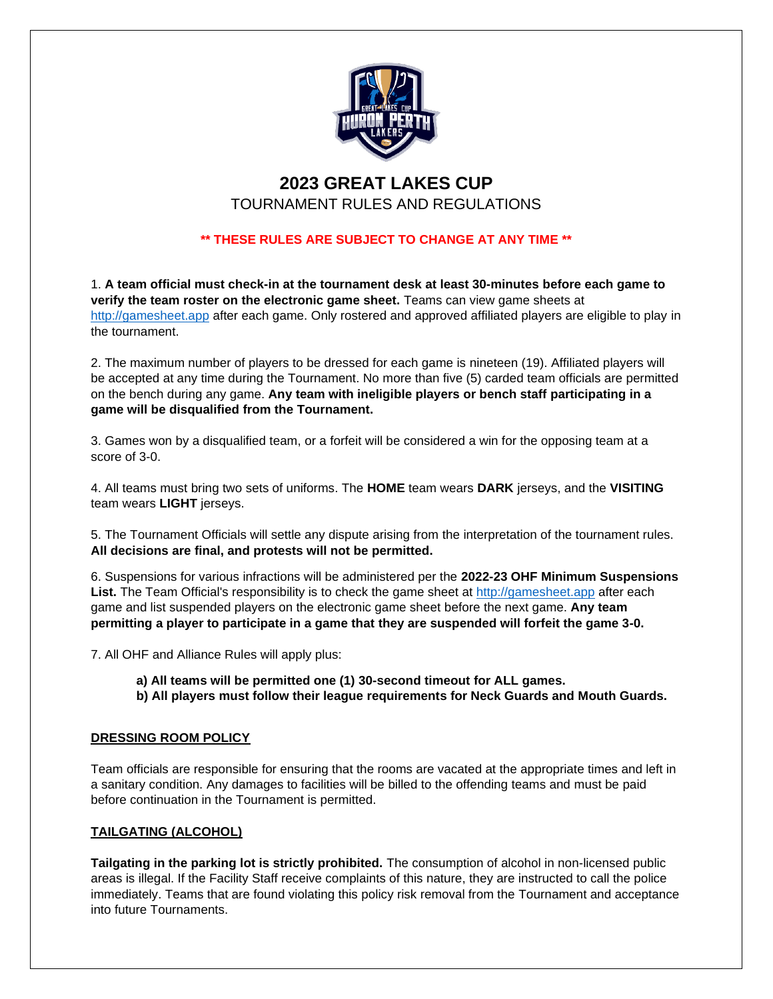

# **2023 GREAT LAKES CUP**

TOURNAMENT RULES AND REGULATIONS

# **\*\* THESE RULES ARE SUBJECT TO CHANGE AT ANY TIME \*\***

1. **A team official must check-in at the tournament desk at least 30-minutes before each game to verify the team roster on the electronic game sheet.** Teams can view game sheets at [http://gamesheet.app](http://gamesheet.app/) after each game. Only rostered and approved affiliated players are eligible to play in the tournament.

2. The maximum number of players to be dressed for each game is nineteen (19). Affiliated players will be accepted at any time during the Tournament. No more than five (5) carded team officials are permitted on the bench during any game. **Any team with ineligible players or bench staff participating in a game will be disqualified from the Tournament.**

3. Games won by a disqualified team, or a forfeit will be considered a win for the opposing team at a score of 3-0.

4. All teams must bring two sets of uniforms. The **HOME** team wears **DARK** jerseys, and the **VISITING** team wears **LIGHT** jerseys.

5. The Tournament Officials will settle any dispute arising from the interpretation of the tournament rules. **All decisions are final, and protests will not be permitted.**

6. Suspensions for various infractions will be administered per the **2022-23 OHF Minimum Suspensions List.** The Team Official's responsibility is to check the game sheet at [http://gamesheet.app](http://gamesheet.app/) after each game and list suspended players on the electronic game sheet before the next game. **Any team permitting a player to participate in a game that they are suspended will forfeit the game 3-0.**

7. All OHF and Alliance Rules will apply plus:

**a) All teams will be permitted one (1) 30-second timeout for ALL games.**

**b) All players must follow their league requirements for Neck Guards and Mouth Guards.**

# **DRESSING ROOM POLICY**

Team officials are responsible for ensuring that the rooms are vacated at the appropriate times and left in a sanitary condition. Any damages to facilities will be billed to the offending teams and must be paid before continuation in the Tournament is permitted.

# **TAILGATING (ALCOHOL)**

**Tailgating in the parking lot is strictly prohibited.** The consumption of alcohol in non-licensed public areas is illegal. If the Facility Staff receive complaints of this nature, they are instructed to call the police immediately. Teams that are found violating this policy risk removal from the Tournament and acceptance into future Tournaments.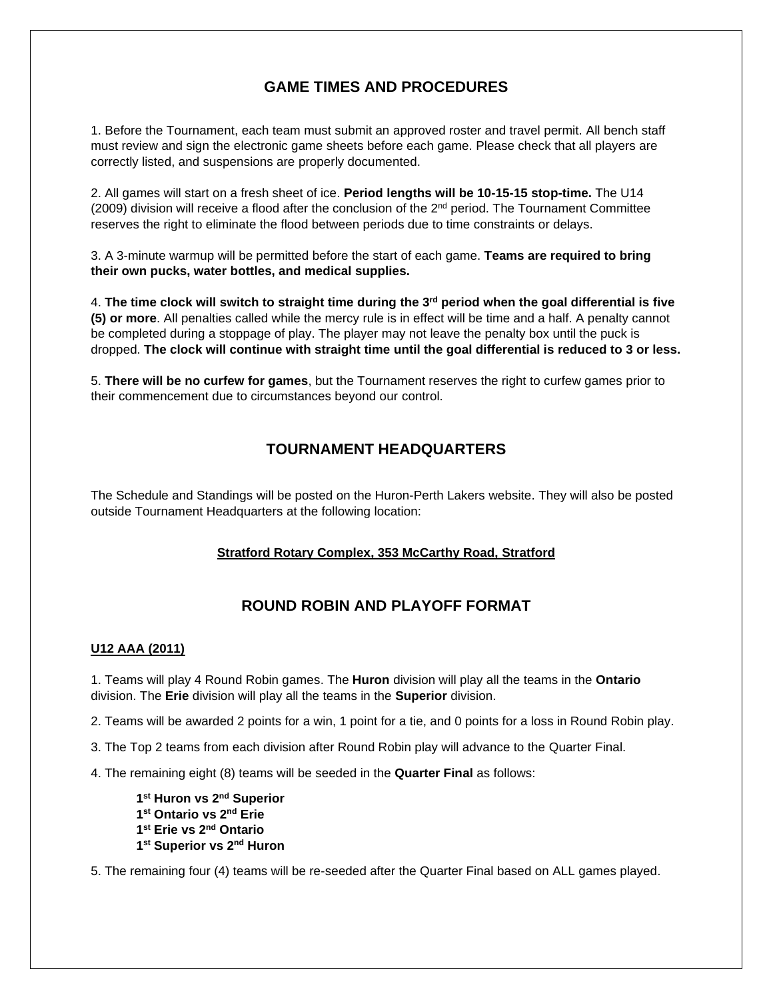# **GAME TIMES AND PROCEDURES**

1. Before the Tournament, each team must submit an approved roster and travel permit. All bench staff must review and sign the electronic game sheets before each game. Please check that all players are correctly listed, and suspensions are properly documented.

2. All games will start on a fresh sheet of ice. **Period lengths will be 10-15-15 stop-time.** The U14 (2009) division will receive a flood after the conclusion of the 2nd period. The Tournament Committee reserves the right to eliminate the flood between periods due to time constraints or delays.

3. A 3-minute warmup will be permitted before the start of each game. **Teams are required to bring their own pucks, water bottles, and medical supplies.**

4. **The time clock will switch to straight time during the 3rd period when the goal differential is five (5) or more**. All penalties called while the mercy rule is in effect will be time and a half. A penalty cannot be completed during a stoppage of play. The player may not leave the penalty box until the puck is dropped. **The clock will continue with straight time until the goal differential is reduced to 3 or less.**

5. **There will be no curfew for games**, but the Tournament reserves the right to curfew games prior to their commencement due to circumstances beyond our control.

# **TOURNAMENT HEADQUARTERS**

The Schedule and Standings will be posted on the Huron-Perth Lakers website. They will also be posted outside Tournament Headquarters at the following location:

# **Stratford Rotary Complex, 353 McCarthy Road, Stratford**

# **ROUND ROBIN AND PLAYOFF FORMAT**

### **U12 AAA (2011)**

1. Teams will play 4 Round Robin games. The **Huron** division will play all the teams in the **Ontario** division. The **Erie** division will play all the teams in the **Superior** division.

2. Teams will be awarded 2 points for a win, 1 point for a tie, and 0 points for a loss in Round Robin play.

3. The Top 2 teams from each division after Round Robin play will advance to the Quarter Final.

4. The remaining eight (8) teams will be seeded in the **Quarter Final** as follows:

```
1
st Huron vs 2nd Superior
1
st Ontario vs 2nd Erie
1
st Erie vs 2nd Ontario
1
st Superior vs 2nd Huron
```
5. The remaining four (4) teams will be re-seeded after the Quarter Final based on ALL games played.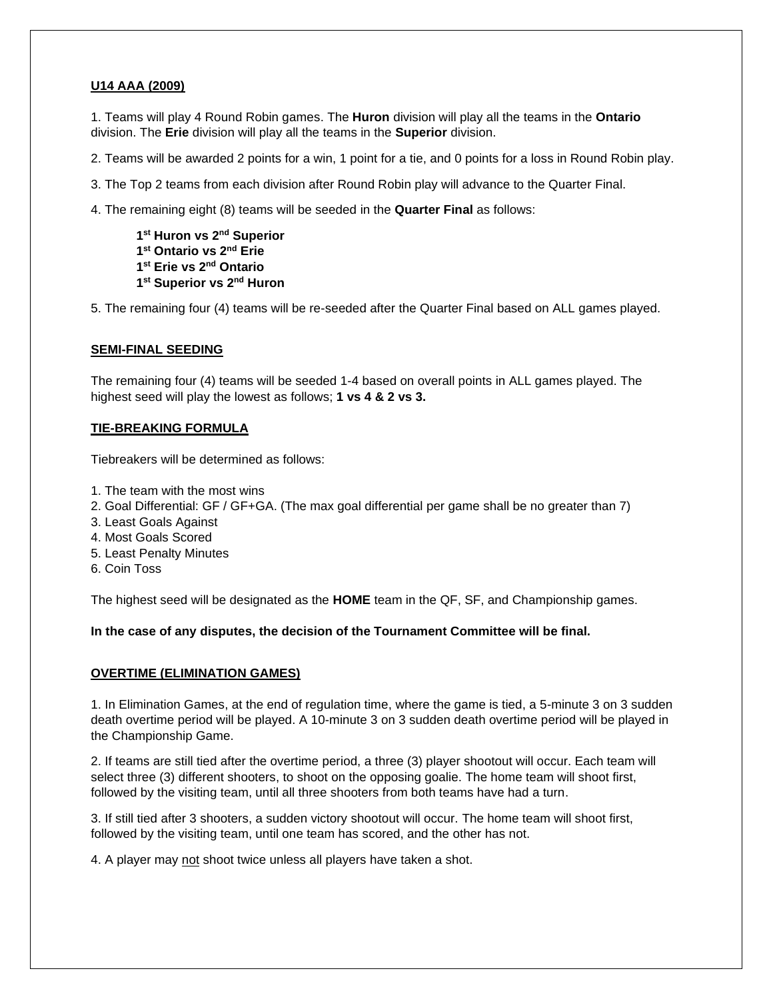### **U14 AAA (2009)**

1. Teams will play 4 Round Robin games. The **Huron** division will play all the teams in the **Ontario** division. The **Erie** division will play all the teams in the **Superior** division.

2. Teams will be awarded 2 points for a win, 1 point for a tie, and 0 points for a loss in Round Robin play.

3. The Top 2 teams from each division after Round Robin play will advance to the Quarter Final.

4. The remaining eight (8) teams will be seeded in the **Quarter Final** as follows:

 **st Huron vs 2nd Superior st Ontario vs 2nd Erie st Erie vs 2nd Ontario st Superior vs 2nd Huron**

5. The remaining four (4) teams will be re-seeded after the Quarter Final based on ALL games played.

#### **SEMI-FINAL SEEDING**

The remaining four (4) teams will be seeded 1-4 based on overall points in ALL games played. The highest seed will play the lowest as follows; **1 vs 4 & 2 vs 3.**

#### **TIE-BREAKING FORMULA**

Tiebreakers will be determined as follows:

- 1. The team with the most wins
- 2. Goal Differential: GF / GF+GA. (The max goal differential per game shall be no greater than 7)
- 3. Least Goals Against
- 4. Most Goals Scored
- 5. Least Penalty Minutes
- 6. Coin Toss

The highest seed will be designated as the **HOME** team in the QF, SF, and Championship games.

**In the case of any disputes, the decision of the Tournament Committee will be final.**

#### **OVERTIME (ELIMINATION GAMES)**

1. In Elimination Games, at the end of regulation time, where the game is tied, a 5-minute 3 on 3 sudden death overtime period will be played. A 10-minute 3 on 3 sudden death overtime period will be played in the Championship Game.

2. If teams are still tied after the overtime period, a three (3) player shootout will occur. Each team will select three (3) different shooters, to shoot on the opposing goalie. The home team will shoot first, followed by the visiting team, until all three shooters from both teams have had a turn.

3. If still tied after 3 shooters, a sudden victory shootout will occur. The home team will shoot first, followed by the visiting team, until one team has scored, and the other has not.

4. A player may not shoot twice unless all players have taken a shot.